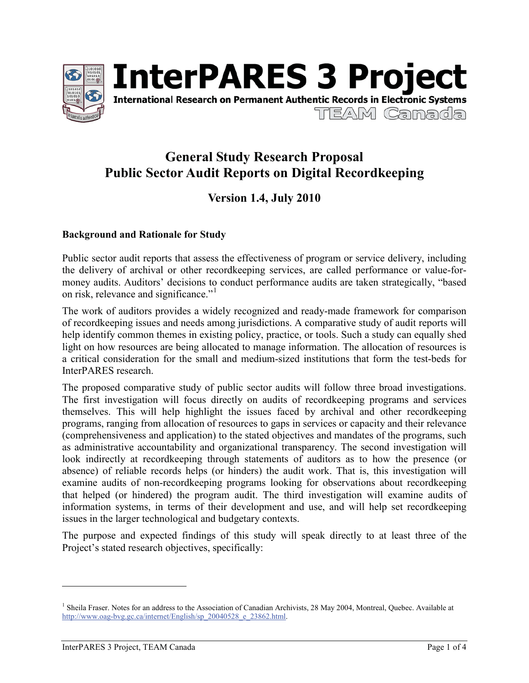

**InterPARES 3 Project** International Research on Permanent Authentic Records in Electronic Systems TEAM Camada

# **General Study Research Proposal Public Sector Audit Reports on Digital Recordkeeping**

## **Version 1.4, July 2010**

### **Background and Rationale for Study**

Public sector audit reports that assess the effectiveness of program or service delivery, including the delivery of archival or other recordkeeping services, are called performance or value-formoney audits. Auditors' decisions to conduct performance audits are taken strategically, "based on risk, relevance and significance."

The work of auditors provides a widely recognized and ready-made framework for comparison of recordkeeping issues and needs among jurisdictions. A comparative study of audit reports will help identify common themes in existing policy, practice, or tools. Such a study can equally shed light on how resources are being allocated to manage information. The allocation of resources is a critical consideration for the small and medium-sized institutions that form the test-beds for InterPARES research.

The proposed comparative study of public sector audits will follow three broad investigations. The first investigation will focus directly on audits of recordkeeping programs and services themselves. This will help highlight the issues faced by archival and other recordkeeping programs, ranging from allocation of resources to gaps in services or capacity and their relevance (comprehensiveness and application) to the stated objectives and mandates of the programs, such as administrative accountability and organizational transparency. The second investigation will look indirectly at recordkeeping through statements of auditors as to how the presence (or absence) of reliable records helps (or hinders) the audit work. That is, this investigation will examine audits of non-recordkeeping programs looking for observations about recordkeeping that helped (or hindered) the program audit. The third investigation will examine audits of information systems, in terms of their development and use, and will help set recordkeeping issues in the larger technological and budgetary contexts.

The purpose and expected findings of this study will speak directly to at least three of the Project's stated research objectives, specifically:

 $\overline{a}$ 

<sup>&</sup>lt;sup>1</sup> Sheila Fraser. Notes for an address to the Association of Canadian Archivists, 28 May 2004, Montreal, Quebec. Available at http://www.oag-bvg.gc.ca/internet/English/sp\_20040528\_e\_23862.html.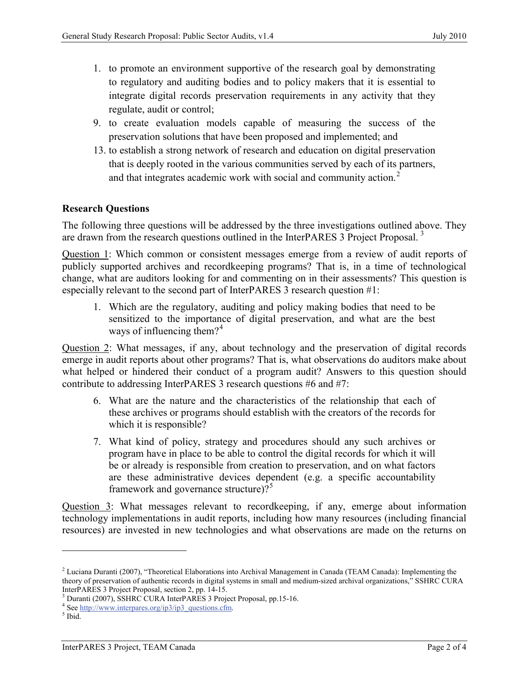- 1. to promote an environment supportive of the research goal by demonstrating to regulatory and auditing bodies and to policy makers that it is essential to integrate digital records preservation requirements in any activity that they regulate, audit or control;
- 9. to create evaluation models capable of measuring the success of the preservation solutions that have been proposed and implemented; and
- 13. to establish a strong network of research and education on digital preservation that is deeply rooted in the various communities served by each of its partners, and that integrates academic work with social and community action.<sup>2</sup>

#### **Research Questions**

The following three questions will be addressed by the three investigations outlined above. They are drawn from the research questions outlined in the InterPARES 3 Project Proposal.<sup>3</sup>

Question 1: Which common or consistent messages emerge from a review of audit reports of publicly supported archives and recordkeeping programs? That is, in a time of technological change, what are auditors looking for and commenting on in their assessments? This question is especially relevant to the second part of InterPARES 3 research question #1:

1. Which are the regulatory, auditing and policy making bodies that need to be sensitized to the importance of digital preservation, and what are the best ways of influencing them?<sup>4</sup>

Question 2: What messages, if any, about technology and the preservation of digital records emerge in audit reports about other programs? That is, what observations do auditors make about what helped or hindered their conduct of a program audit? Answers to this question should contribute to addressing InterPARES 3 research questions #6 and #7:

- 6. What are the nature and the characteristics of the relationship that each of these archives or programs should establish with the creators of the records for which it is responsible?
- 7. What kind of policy, strategy and procedures should any such archives or program have in place to be able to control the digital records for which it will be or already is responsible from creation to preservation, and on what factors are these administrative devices dependent (e.g. a specific accountability framework and governance structure)? $5^{\circ}$

Question 3: What messages relevant to recordkeeping, if any, emerge about information technology implementations in audit reports, including how many resources (including financial resources) are invested in new technologies and what observations are made on the returns on

 $\overline{\phantom{a}}$ 

<sup>&</sup>lt;sup>2</sup> Luciana Duranti (2007), "Theoretical Elaborations into Archival Management in Canada (TEAM Canada): Implementing the theory of preservation of authentic records in digital systems in small and medium-sized archival organizations," SSHRC CURA InterPARES 3 Project Proposal, section 2, pp. 14-15.

<sup>&</sup>lt;sup>3</sup> Duranti (2007), SSHRC CURA InterPARES 3 Project Proposal, pp.15-16.  $4$  See http://www.interpares.org/ip3/ip3\_questions.cfm. 5 Ibid.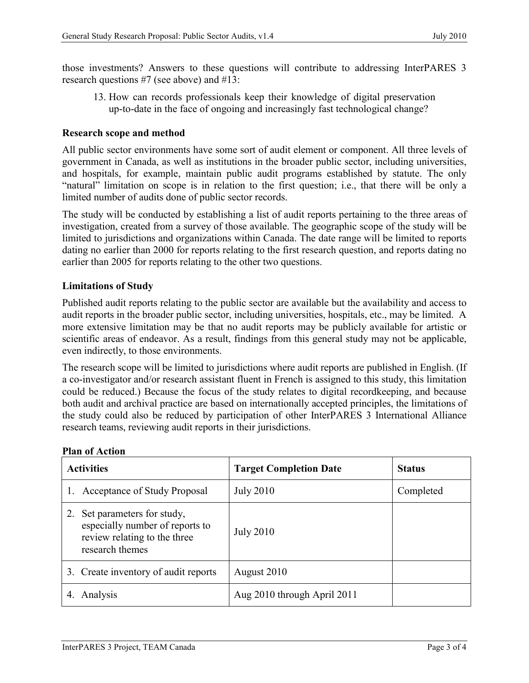those investments? Answers to these questions will contribute to addressing InterPARES 3 research questions #7 (see above) and #13:

13. How can records professionals keep their knowledge of digital preservation up-to-date in the face of ongoing and increasingly fast technological change?

#### **Research scope and method**

All public sector environments have some sort of audit element or component. All three levels of government in Canada, as well as institutions in the broader public sector, including universities, and hospitals, for example, maintain public audit programs established by statute. The only "natural" limitation on scope is in relation to the first question; i.e., that there will be only a limited number of audits done of public sector records.

The study will be conducted by establishing a list of audit reports pertaining to the three areas of investigation, created from a survey of those available. The geographic scope of the study will be limited to jurisdictions and organizations within Canada. The date range will be limited to reports dating no earlier than 2000 for reports relating to the first research question, and reports dating no earlier than 2005 for reports relating to the other two questions.

#### **Limitations of Study**

Published audit reports relating to the public sector are available but the availability and access to audit reports in the broader public sector, including universities, hospitals, etc., may be limited. A more extensive limitation may be that no audit reports may be publicly available for artistic or scientific areas of endeavor. As a result, findings from this general study may not be applicable, even indirectly, to those environments.

The research scope will be limited to jurisdictions where audit reports are published in English. (If a co-investigator and/or research assistant fluent in French is assigned to this study, this limitation could be reduced.) Because the focus of the study relates to digital recordkeeping, and because both audit and archival practice are based on internationally accepted principles, the limitations of the study could also be reduced by participation of other InterPARES 3 International Alliance research teams, reviewing audit reports in their jurisdictions.

| <b>Activities</b>                                                                                               | <b>Target Completion Date</b> | <b>Status</b> |
|-----------------------------------------------------------------------------------------------------------------|-------------------------------|---------------|
| <b>Acceptance of Study Proposal</b>                                                                             | <b>July 2010</b>              | Completed     |
| Set parameters for study,<br>especially number of reports to<br>review relating to the three<br>research themes | <b>July 2010</b>              |               |
| 3. Create inventory of audit reports                                                                            | August 2010                   |               |
| Analysis                                                                                                        | Aug 2010 through April 2011   |               |

#### **Plan of Action**